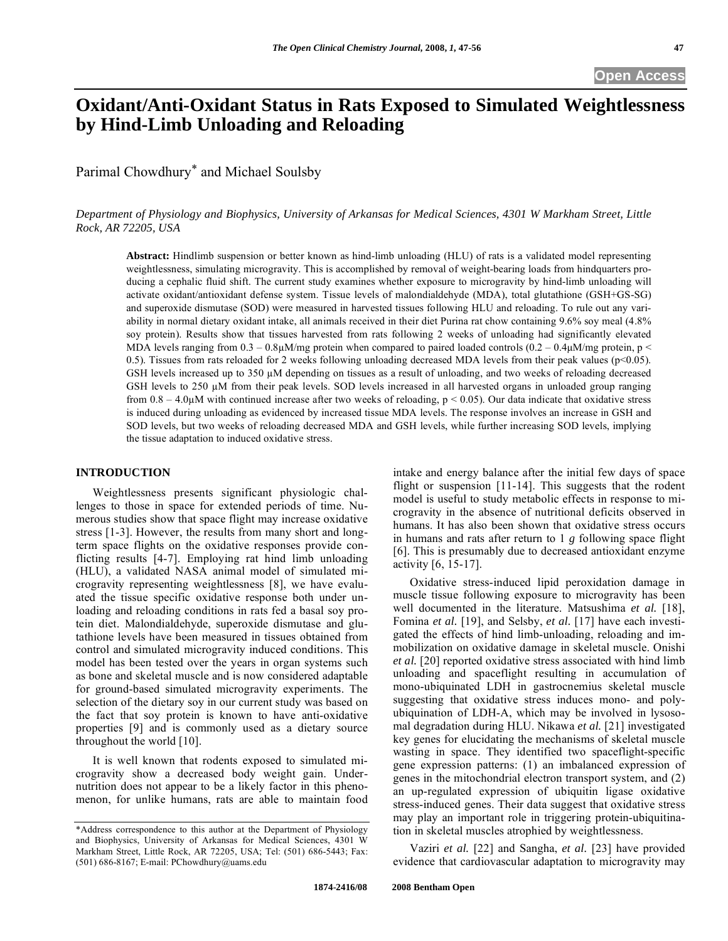# **Oxidant/Anti-Oxidant Status in Rats Exposed to Simulated Weightlessness by Hind-Limb Unloading and Reloading**

Parimal Chowdhury\* and Michael Soulsby

*Department of Physiology and Biophysics, University of Arkansas for Medical Sciences, 4301 W Markham Street, Little Rock, AR 72205, USA* 

**Abstract:** Hindlimb suspension or better known as hind-limb unloading (HLU) of rats is a validated model representing weightlessness, simulating microgravity. This is accomplished by removal of weight-bearing loads from hindquarters producing a cephalic fluid shift. The current study examines whether exposure to microgravity by hind-limb unloading will activate oxidant/antioxidant defense system. Tissue levels of malondialdehyde (MDA), total glutathione (GSH+GS-SG) and superoxide dismutase (SOD) were measured in harvested tissues following HLU and reloading. To rule out any variability in normal dietary oxidant intake, all animals received in their diet Purina rat chow containing 9.6% soy meal (4.8% soy protein). Results show that tissues harvested from rats following 2 weeks of unloading had significantly elevated MDA levels ranging from  $0.3 - 0.8\mu$ M/mg protein when compared to paired loaded controls  $(0.2 - 0.4\mu$ M/mg protein, p < 0.5). Tissues from rats reloaded for 2 weeks following unloading decreased MDA levels from their peak values ( $p$ <0.05). GSH levels increased up to 350 µM depending on tissues as a result of unloading, and two weeks of reloading decreased GSH levels to  $250 \mu M$  from their peak levels. SOD levels increased in all harvested organs in unloaded group ranging from  $0.8 - 4.0 \mu$ M with continued increase after two weeks of reloading,  $p < 0.05$ ). Our data indicate that oxidative stress is induced during unloading as evidenced by increased tissue MDA levels. The response involves an increase in GSH and SOD levels, but two weeks of reloading decreased MDA and GSH levels, while further increasing SOD levels, implying the tissue adaptation to induced oxidative stress.

#### **INTRODUCTION**

 Weightlessness presents significant physiologic challenges to those in space for extended periods of time. Numerous studies show that space flight may increase oxidative stress [1-3]. However, the results from many short and longterm space flights on the oxidative responses provide conflicting results [4-7]. Employing rat hind limb unloading (HLU), a validated NASA animal model of simulated microgravity representing weightlessness [8], we have evaluated the tissue specific oxidative response both under unloading and reloading conditions in rats fed a basal soy protein diet. Malondialdehyde, superoxide dismutase and glutathione levels have been measured in tissues obtained from control and simulated microgravity induced conditions. This model has been tested over the years in organ systems such as bone and skeletal muscle and is now considered adaptable for ground-based simulated microgravity experiments. The selection of the dietary soy in our current study was based on the fact that soy protein is known to have anti-oxidative properties [9] and is commonly used as a dietary source throughout the world [10].

 It is well known that rodents exposed to simulated microgravity show a decreased body weight gain. Undernutrition does not appear to be a likely factor in this phenomenon, for unlike humans, rats are able to maintain food intake and energy balance after the initial few days of space flight or suspension [11-14]. This suggests that the rodent model is useful to study metabolic effects in response to microgravity in the absence of nutritional deficits observed in humans. It has also been shown that oxidative stress occurs in humans and rats after return to 1 *g* following space flight [6]. This is presumably due to decreased antioxidant enzyme activity [6, 15-17].

 Oxidative stress-induced lipid peroxidation damage in muscle tissue following exposure to microgravity has been well documented in the literature. Matsushima *et al.* [18], Fomina *et al.* [19], and Selsby, *et al.* [17] have each investigated the effects of hind limb-unloading, reloading and immobilization on oxidative damage in skeletal muscle. Onishi *et al.* [20] reported oxidative stress associated with hind limb unloading and spaceflight resulting in accumulation of mono-ubiquinated LDH in gastrocnemius skeletal muscle suggesting that oxidative stress induces mono- and polyubiquination of LDH-A, which may be involved in lysosomal degradation during HLU. Nikawa *et al.* [21] investigated key genes for elucidating the mechanisms of skeletal muscle wasting in space. They identified two spaceflight-specific gene expression patterns: (1) an imbalanced expression of genes in the mitochondrial electron transport system, and (2) an up-regulated expression of ubiquitin ligase oxidative stress-induced genes. Their data suggest that oxidative stress may play an important role in triggering protein-ubiquitination in skeletal muscles atrophied by weightlessness.

 Vaziri *et al.* [22] and Sangha, *et al.* [23] have provided evidence that cardiovascular adaptation to microgravity may

<sup>\*</sup>Address correspondence to this author at the Department of Physiology and Biophysics, University of Arkansas for Medical Sciences, 4301 W Markham Street, Little Rock, AR 72205, USA; Tel: (501) 686-5443; Fax: (501) 686-8167; E-mail: PChowdhury@uams.edu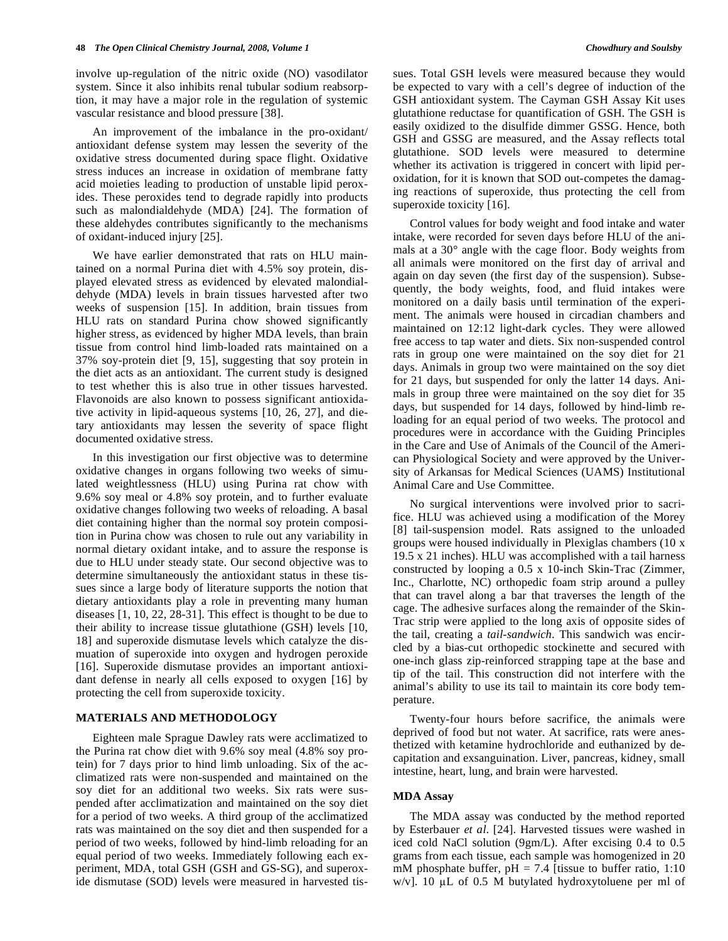involve up-regulation of the nitric oxide (NO) vasodilator system. Since it also inhibits renal tubular sodium reabsorption, it may have a major role in the regulation of systemic vascular resistance and blood pressure [38].

 An improvement of the imbalance in the pro-oxidant/ antioxidant defense system may lessen the severity of the oxidative stress documented during space flight. Oxidative stress induces an increase in oxidation of membrane fatty acid moieties leading to production of unstable lipid peroxides. These peroxides tend to degrade rapidly into products such as malondialdehyde (MDA) [24]. The formation of these aldehydes contributes significantly to the mechanisms of oxidant-induced injury [25].

 We have earlier demonstrated that rats on HLU maintained on a normal Purina diet with 4.5% soy protein, displayed elevated stress as evidenced by elevated malondialdehyde (MDA) levels in brain tissues harvested after two weeks of suspension [15]. In addition, brain tissues from HLU rats on standard Purina chow showed significantly higher stress, as evidenced by higher MDA levels, than brain tissue from control hind limb-loaded rats maintained on a 37% soy-protein diet [9, 15], suggesting that soy protein in the diet acts as an antioxidant. The current study is designed to test whether this is also true in other tissues harvested. Flavonoids are also known to possess significant antioxidative activity in lipid-aqueous systems [10, 26, 27], and dietary antioxidants may lessen the severity of space flight documented oxidative stress.

 In this investigation our first objective was to determine oxidative changes in organs following two weeks of simulated weightlessness (HLU) using Purina rat chow with 9.6% soy meal or 4.8% soy protein, and to further evaluate oxidative changes following two weeks of reloading. A basal diet containing higher than the normal soy protein composition in Purina chow was chosen to rule out any variability in normal dietary oxidant intake, and to assure the response is due to HLU under steady state. Our second objective was to determine simultaneously the antioxidant status in these tissues since a large body of literature supports the notion that dietary antioxidants play a role in preventing many human diseases [1, 10, 22, 28-31]. This effect is thought to be due to their ability to increase tissue glutathione (GSH) levels [10, 18] and superoxide dismutase levels which catalyze the dismuation of superoxide into oxygen and hydrogen peroxide [16]. Superoxide dismutase provides an important antioxidant defense in nearly all cells exposed to oxygen [16] by protecting the cell from superoxide toxicity.

#### **MATERIALS AND METHODOLOGY**

 Eighteen male Sprague Dawley rats were acclimatized to the Purina rat chow diet with 9.6% soy meal (4.8% soy protein) for 7 days prior to hind limb unloading. Six of the acclimatized rats were non-suspended and maintained on the soy diet for an additional two weeks. Six rats were suspended after acclimatization and maintained on the soy diet for a period of two weeks. A third group of the acclimatized rats was maintained on the soy diet and then suspended for a period of two weeks, followed by hind-limb reloading for an equal period of two weeks. Immediately following each experiment, MDA, total GSH (GSH and GS-SG), and superoxide dismutase (SOD) levels were measured in harvested tissues. Total GSH levels were measured because they would be expected to vary with a cell's degree of induction of the GSH antioxidant system. The Cayman GSH Assay Kit uses glutathione reductase for quantification of GSH. The GSH is easily oxidized to the disulfide dimmer GSSG. Hence, both GSH and GSSG are measured, and the Assay reflects total glutathione. SOD levels were measured to determine whether its activation is triggered in concert with lipid peroxidation, for it is known that SOD out-competes the damaging reactions of superoxide, thus protecting the cell from superoxide toxicity [16].

 Control values for body weight and food intake and water intake, were recorded for seven days before HLU of the animals at a 30° angle with the cage floor. Body weights from all animals were monitored on the first day of arrival and again on day seven (the first day of the suspension). Subsequently, the body weights, food, and fluid intakes were monitored on a daily basis until termination of the experiment. The animals were housed in circadian chambers and maintained on 12:12 light-dark cycles. They were allowed free access to tap water and diets. Six non-suspended control rats in group one were maintained on the soy diet for 21 days. Animals in group two were maintained on the soy diet for 21 days, but suspended for only the latter 14 days. Animals in group three were maintained on the soy diet for 35 days, but suspended for 14 days, followed by hind-limb reloading for an equal period of two weeks. The protocol and procedures were in accordance with the Guiding Principles in the Care and Use of Animals of the Council of the American Physiological Society and were approved by the University of Arkansas for Medical Sciences (UAMS) Institutional Animal Care and Use Committee.

 No surgical interventions were involved prior to sacrifice. HLU was achieved using a modification of the Morey [8] tail-suspension model. Rats assigned to the unloaded groups were housed individually in Plexiglas chambers (10 x 19.5 x 21 inches). HLU was accomplished with a tail harness constructed by looping a 0.5 x 10-inch Skin-Trac (Zimmer, Inc., Charlotte, NC) orthopedic foam strip around a pulley that can travel along a bar that traverses the length of the cage. The adhesive surfaces along the remainder of the Skin-Trac strip were applied to the long axis of opposite sides of the tail, creating a *tail-sandwich*. This sandwich was encircled by a bias-cut orthopedic stockinette and secured with one-inch glass zip-reinforced strapping tape at the base and tip of the tail. This construction did not interfere with the animal's ability to use its tail to maintain its core body temperature.

 Twenty-four hours before sacrifice, the animals were deprived of food but not water. At sacrifice, rats were anesthetized with ketamine hydrochloride and euthanized by decapitation and exsanguination. Liver, pancreas, kidney, small intestine, heart, lung, and brain were harvested.

#### **MDA Assay**

 The MDA assay was conducted by the method reported by Esterbauer *et al*. [24]. Harvested tissues were washed in iced cold NaCl solution (9gm/L). After excising 0.4 to 0.5 grams from each tissue, each sample was homogenized in 20 mM phosphate buffer,  $pH = 7.4$  [tissue to buffer ratio, 1:10 w/v]. 10  $\mu$ L of 0.5 M butylated hydroxytoluene per ml of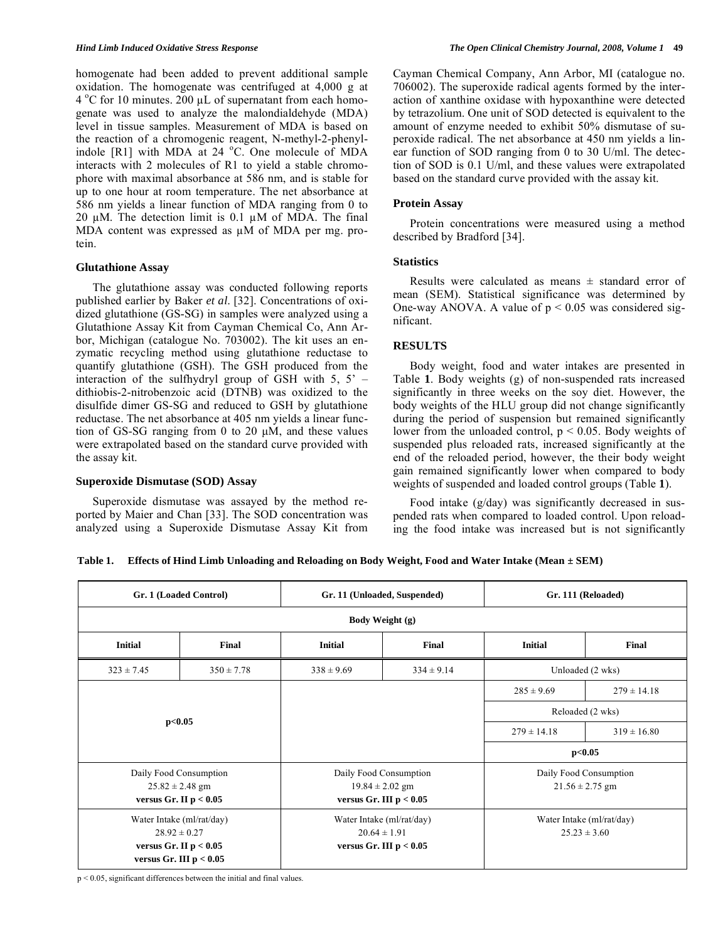homogenate had been added to prevent additional sample oxidation. The homogenate was centrifuged at 4,000 g at  $4^{\circ}$ C for 10 minutes. 200 µL of supernatant from each homogenate was used to analyze the malondialdehyde (MDA) level in tissue samples. Measurement of MDA is based on the reaction of a chromogenic reagent, N-methyl-2-phenylindole  $[R1]$  with MDA at 24  $°C$ . One molecule of MDA interacts with 2 molecules of R1 to yield a stable chromophore with maximal absorbance at 586 nm, and is stable for up to one hour at room temperature. The net absorbance at 586 nm yields a linear function of MDA ranging from 0 to 20  $\mu$ M. The detection limit is 0.1  $\mu$ M of MDA. The final MDA content was expressed as  $\mu$ M of MDA per mg. protein.

# **Glutathione Assay**

 The glutathione assay was conducted following reports published earlier by Baker *et al*. [32]. Concentrations of oxidized glutathione (GS-SG) in samples were analyzed using a Glutathione Assay Kit from Cayman Chemical Co, Ann Arbor, Michigan (catalogue No. 703002). The kit uses an enzymatic recycling method using glutathione reductase to quantify glutathione (GSH). The GSH produced from the interaction of the sulfhydryl group of GSH with  $5, 5'$  – dithiobis-2-nitrobenzoic acid (DTNB) was oxidized to the disulfide dimer GS-SG and reduced to GSH by glutathione reductase. The net absorbance at 405 nm yields a linear function of GS-SG ranging from 0 to 20  $\mu$ M, and these values were extrapolated based on the standard curve provided with the assay kit.

### **Superoxide Dismutase (SOD) Assay**

 Superoxide dismutase was assayed by the method reported by Maier and Chan [33]. The SOD concentration was analyzed using a Superoxide Dismutase Assay Kit from Cayman Chemical Company, Ann Arbor, MI (catalogue no. 706002). The superoxide radical agents formed by the interaction of xanthine oxidase with hypoxanthine were detected by tetrazolium. One unit of SOD detected is equivalent to the amount of enzyme needed to exhibit 50% dismutase of superoxide radical. The net absorbance at 450 nm yields a linear function of SOD ranging from 0 to 30 U/ml. The detection of SOD is 0.1 U/ml, and these values were extrapolated based on the standard curve provided with the assay kit.

# **Protein Assay**

 Protein concentrations were measured using a method described by Bradford [34].

# **Statistics**

Results were calculated as means  $\pm$  standard error of mean (SEM). Statistical significance was determined by One-way ANOVA. A value of  $p < 0.05$  was considered significant.

# **RESULTS**

 Body weight, food and water intakes are presented in Table **1**. Body weights (g) of non-suspended rats increased significantly in three weeks on the soy diet. However, the body weights of the HLU group did not change significantly during the period of suspension but remained significantly lower from the unloaded control,  $p < 0.05$ . Body weights of suspended plus reloaded rats, increased significantly at the end of the reloaded period, however, the their body weight gain remained significantly lower when compared to body weights of suspended and loaded control groups (Table **1**).

 Food intake (g/day) was significantly decreased in suspended rats when compared to loaded control. Upon reloading the food intake was increased but is not significantly

**Table 1. Effects of Hind Limb Unloading and Reloading on Body Weight, Food and Water Intake (Mean ± SEM)** 

| Gr. 1 (Loaded Control)                                                                                 |                | Gr. 11 (Unloaded, Suspended)                                               |                | Gr. 111 (Reloaded)                            |                 |
|--------------------------------------------------------------------------------------------------------|----------------|----------------------------------------------------------------------------|----------------|-----------------------------------------------|-----------------|
| Body Weight (g)                                                                                        |                |                                                                            |                |                                               |                 |
| <b>Initial</b>                                                                                         | Final          | <b>Initial</b>                                                             | Final          | <b>Initial</b>                                | Final           |
| $323 \pm 7.45$                                                                                         | $350 \pm 7.78$ | $338 \pm 9.69$                                                             | $334 \pm 9.14$ | Unloaded (2 wks)                              |                 |
| p<0.05                                                                                                 |                |                                                                            |                | $285 \pm 9.69$                                | $279 \pm 14.18$ |
|                                                                                                        |                |                                                                            |                | Reloaded (2 wks)                              |                 |
|                                                                                                        |                |                                                                            |                | $279 \pm 14.18$                               | $319 \pm 16.80$ |
|                                                                                                        |                |                                                                            |                | p<0.05                                        |                 |
| Daily Food Consumption<br>$25.82 \pm 2.48$ gm<br>versus Gr. II $p < 0.05$                              |                | Daily Food Consumption<br>$19.84 \pm 2.02$ gm<br>versus Gr. III $p < 0.05$ |                | Daily Food Consumption<br>$21.56 \pm 2.75$ gm |                 |
| Water Intake (ml/rat/day)<br>$28.92 \pm 0.27$<br>versus Gr. II $p < 0.05$<br>versus Gr. III $p < 0.05$ |                | Water Intake (ml/rat/day)<br>$20.64 \pm 1.91$<br>versus Gr. III $p < 0.05$ |                | Water Intake (ml/rat/day)<br>$25.23 \pm 3.60$ |                 |

p < 0.05, significant differences between the initial and final values.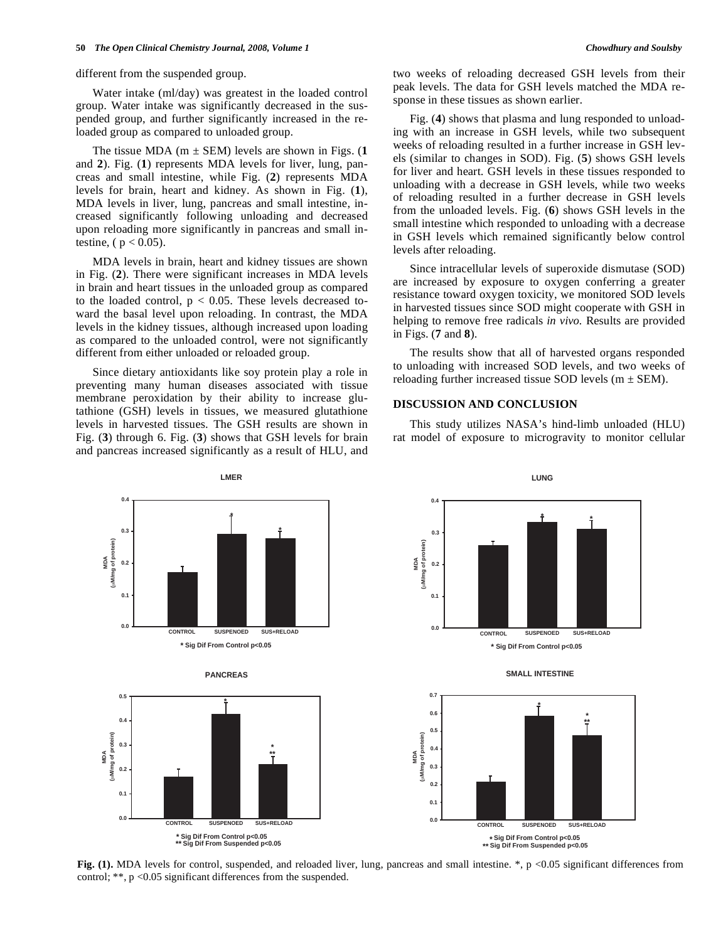different from the suspended group.

 Water intake (ml/day) was greatest in the loaded control group. Water intake was significantly decreased in the suspended group, and further significantly increased in the reloaded group as compared to unloaded group.

The tissue MDA ( $m \pm$  SEM) levels are shown in Figs. (1) and **2**). Fig. (**1**) represents MDA levels for liver, lung, pancreas and small intestine, while Fig. (**2**) represents MDA levels for brain, heart and kidney. As shown in Fig. (**1**), MDA levels in liver, lung, pancreas and small intestine, increased significantly following unloading and decreased upon reloading more significantly in pancreas and small intestine, ( $p < 0.05$ ).

 MDA levels in brain, heart and kidney tissues are shown in Fig. (**2**). There were significant increases in MDA levels in brain and heart tissues in the unloaded group as compared to the loaded control,  $p < 0.05$ . These levels decreased toward the basal level upon reloading. In contrast, the MDA levels in the kidney tissues, although increased upon loading as compared to the unloaded control, were not significantly different from either unloaded or reloaded group.

 Since dietary antioxidants like soy protein play a role in preventing many human diseases associated with tissue membrane peroxidation by their ability to increase glutathione (GSH) levels in tissues, we measured glutathione levels in harvested tissues. The GSH results are shown in Fig. (**3**) through 6. Fig. (**3**) shows that GSH levels for brain and pancreas increased significantly as a result of HLU, and two weeks of reloading decreased GSH levels from their peak levels. The data for GSH levels matched the MDA response in these tissues as shown earlier.

 Fig. (**4**) shows that plasma and lung responded to unloading with an increase in GSH levels, while two subsequent weeks of reloading resulted in a further increase in GSH levels (similar to changes in SOD). Fig. (**5**) shows GSH levels for liver and heart. GSH levels in these tissues responded to unloading with a decrease in GSH levels, while two weeks of reloading resulted in a further decrease in GSH levels from the unloaded levels. Fig. (**6**) shows GSH levels in the small intestine which responded to unloading with a decrease in GSH levels which remained significantly below control levels after reloading.

 Since intracellular levels of superoxide dismutase (SOD) are increased by exposure to oxygen conferring a greater resistance toward oxygen toxicity, we monitored SOD levels in harvested tissues since SOD might cooperate with GSH in helping to remove free radicals *in vivo.* Results are provided in Figs. (**7** and **8**).

 The results show that all of harvested organs responded to unloading with increased SOD levels, and two weeks of reloading further increased tissue SOD levels ( $m \pm$  SEM).

#### **DISCUSSION AND CONCLUSION**

 This study utilizes NASA's hind-limb unloaded (HLU) rat model of exposure to microgravity to monitor cellular



**Fig. (1).** MDA levels for control, suspended, and reloaded liver, lung, pancreas and small intestine. \*, p <0.05 significant differences from control; \*\*, p <0.05 significant differences from the suspended.

**LUNG**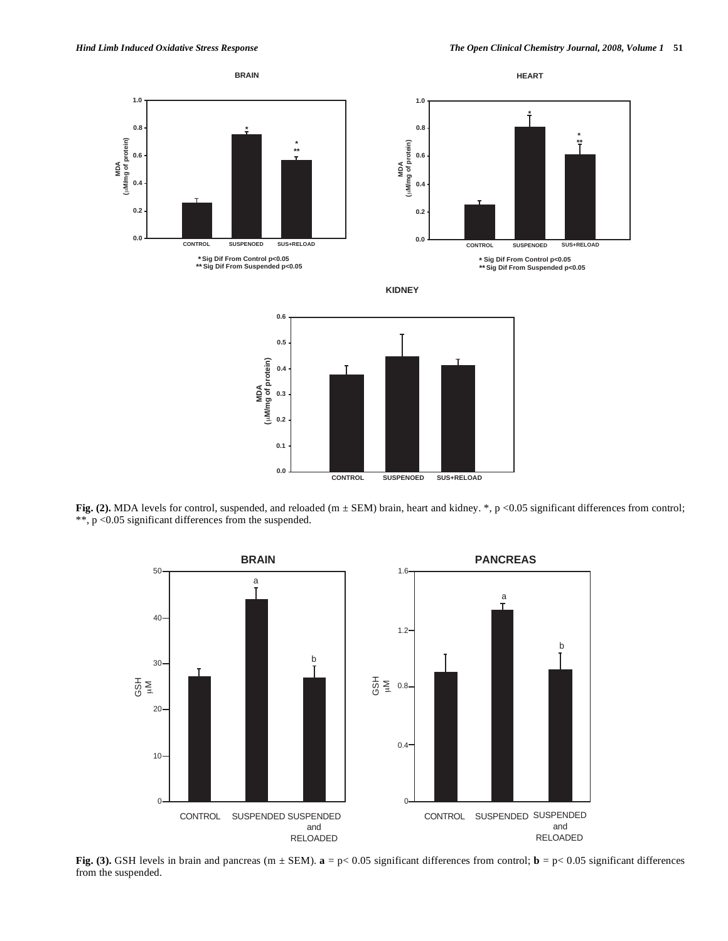

Fig. (2). MDA levels for control, suspended, and reloaded (m  $\pm$  SEM) brain, heart and kidney. \*, p <0.05 significant differences from control; \*\*, p <0.05 significant differences from the suspended.



**Fig. (3).** GSH levels in brain and pancreas (m  $\pm$  SEM).  $\mathbf{a} = p < 0.05$  significant differences from control;  $\mathbf{b} = p < 0.05$  significant differences from the suspended.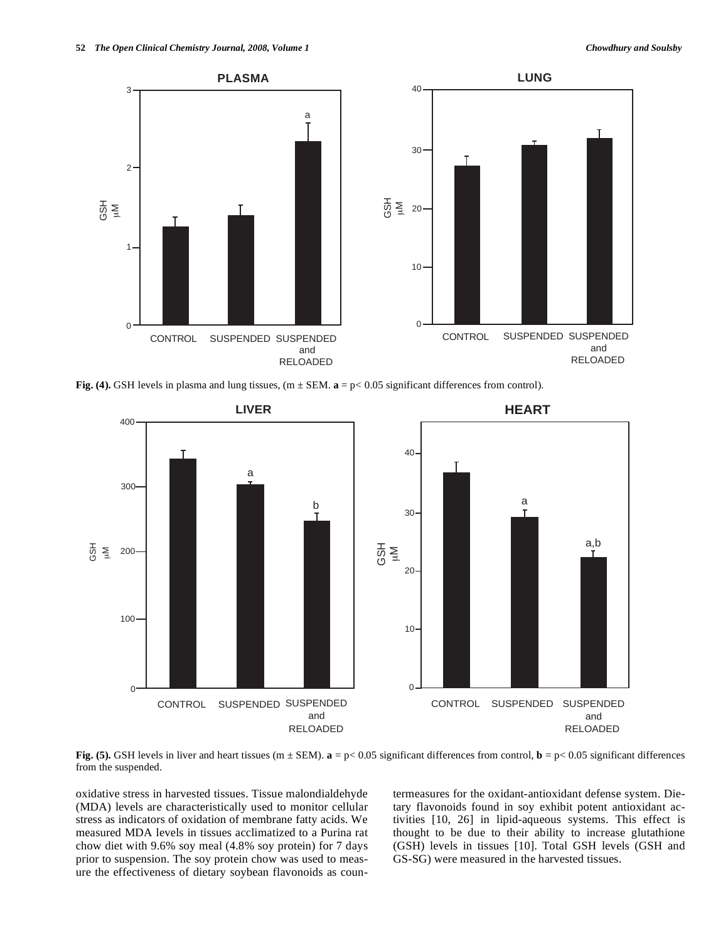

**Fig. (4).** GSH levels in plasma and lung tissues,  $(m \pm SEM. a = p < 0.05$  significant differences from control).



**Fig. (5).** GSH levels in liver and heart tissues (m  $\pm$  SEM). **a** = p< 0.05 significant differences from control, **b** = p< 0.05 significant differences from the suspended.

oxidative stress in harvested tissues. Tissue malondialdehyde (MDA) levels are characteristically used to monitor cellular stress as indicators of oxidation of membrane fatty acids. We measured MDA levels in tissues acclimatized to a Purina rat chow diet with 9.6% soy meal (4.8% soy protein) for 7 days prior to suspension. The soy protein chow was used to measure the effectiveness of dietary soybean flavonoids as countermeasures for the oxidant-antioxidant defense system. Dietary flavonoids found in soy exhibit potent antioxidant activities [10, 26] in lipid-aqueous systems. This effect is thought to be due to their ability to increase glutathione (GSH) levels in tissues [10]. Total GSH levels (GSH and GS-SG) were measured in the harvested tissues.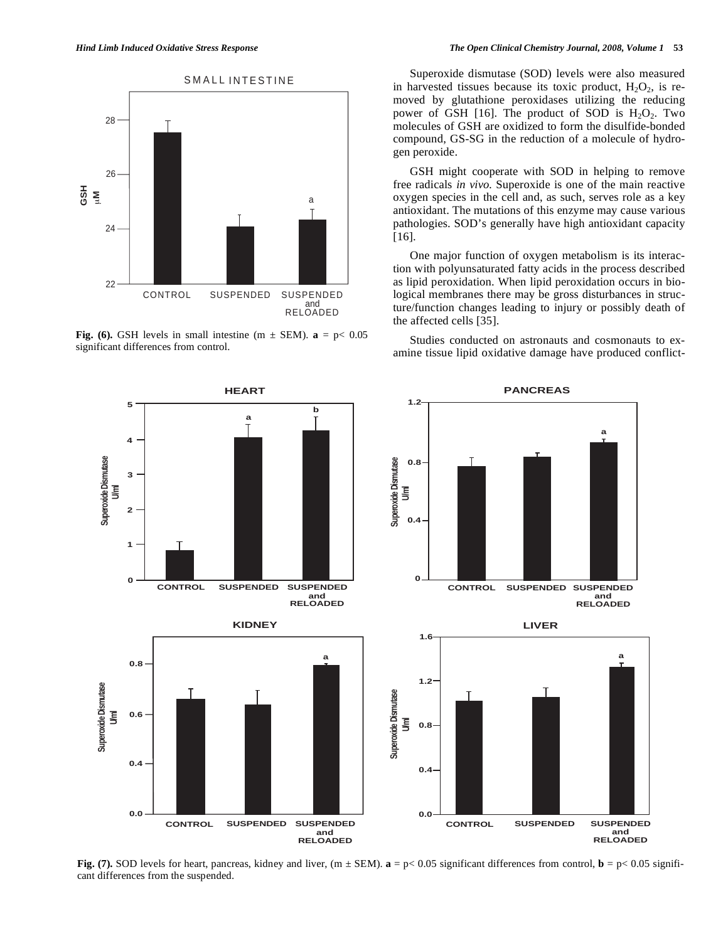

**Fig. (6).** GSH levels in small intestine (m  $\pm$  SEM).  $a = p \lt 0.05$ significant differences from control.

 Superoxide dismutase (SOD) levels were also measured in harvested tissues because its toxic product,  $H_2O_2$ , is removed by glutathione peroxidases utilizing the reducing power of GSH [16]. The product of SOD is  $H_2O_2$ . Two molecules of GSH are oxidized to form the disulfide-bonded compound, GS-SG in the reduction of a molecule of hydrogen peroxide.

 GSH might cooperate with SOD in helping to remove free radicals *in vivo.* Superoxide is one of the main reactive oxygen species in the cell and, as such, serves role as a key antioxidant. The mutations of this enzyme may cause various pathologies. SOD's generally have high antioxidant capacity [16].

 One major function of oxygen metabolism is its interaction with polyunsaturated fatty acids in the process described as lipid peroxidation. When lipid peroxidation occurs in biological membranes there may be gross disturbances in structure/function changes leading to injury or possibly death of the affected cells [35].

 Studies conducted on astronauts and cosmonauts to examine tissue lipid oxidative damage have produced conflict-



**Fig.** (7). SOD levels for heart, pancreas, kidney and liver,  $(m \pm SEM)$ .  $\mathbf{a} = p \lt 0.05$  significant differences from control,  $\mathbf{b} = p \lt 0.05$  signifi-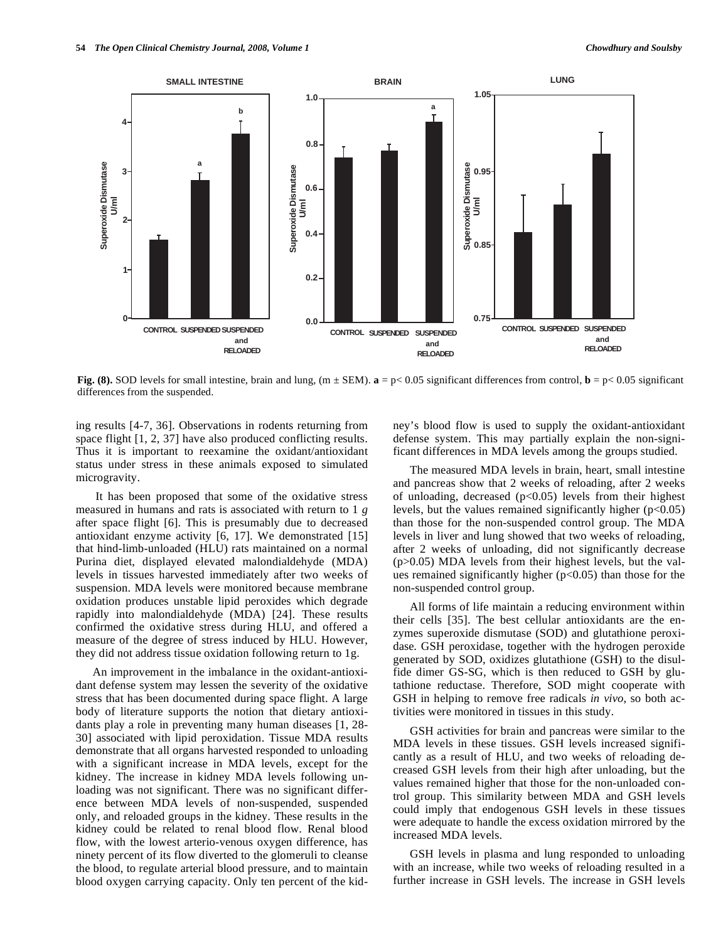

**Fig. (8).** SOD levels for small intestine, brain and lung,  $(m \pm SEM)$ .  $\mathbf{a} = p \lt 0.05$  significant differences from control,  $\mathbf{b} = p \lt 0.05$  significant

ing results [4-7, 36]. Observations in rodents returning from space flight [1, 2, 37] have also produced conflicting results. Thus it is important to reexamine the oxidant/antioxidant status under stress in these animals exposed to simulated microgravity.

 It has been proposed that some of the oxidative stress measured in humans and rats is associated with return to 1 *g* after space flight [6]. This is presumably due to decreased antioxidant enzyme activity [6, 17]. We demonstrated [15] that hind-limb-unloaded (HLU) rats maintained on a normal Purina diet, displayed elevated malondialdehyde (MDA) levels in tissues harvested immediately after two weeks of suspension. MDA levels were monitored because membrane oxidation produces unstable lipid peroxides which degrade rapidly into malondialdehyde (MDA) [24]. These results confirmed the oxidative stress during HLU, and offered a measure of the degree of stress induced by HLU. However, they did not address tissue oxidation following return to 1g.

 An improvement in the imbalance in the oxidant-antioxidant defense system may lessen the severity of the oxidative stress that has been documented during space flight. A large body of literature supports the notion that dietary antioxidants play a role in preventing many human diseases [1, 28- 30] associated with lipid peroxidation. Tissue MDA results demonstrate that all organs harvested responded to unloading with a significant increase in MDA levels, except for the kidney. The increase in kidney MDA levels following unloading was not significant. There was no significant difference between MDA levels of non-suspended, suspended only, and reloaded groups in the kidney. These results in the kidney could be related to renal blood flow. Renal blood flow, with the lowest arterio-venous oxygen difference, has ninety percent of its flow diverted to the glomeruli to cleanse the blood, to regulate arterial blood pressure, and to maintain blood oxygen carrying capacity. Only ten percent of the kidney's blood flow is used to supply the oxidant-antioxidant defense system. This may partially explain the non-significant differences in MDA levels among the groups studied.

 The measured MDA levels in brain, heart, small intestine and pancreas show that 2 weeks of reloading, after 2 weeks of unloading, decreased  $(p<0.05)$  levels from their highest levels, but the values remained significantly higher  $(p<0.05)$ than those for the non-suspended control group. The MDA levels in liver and lung showed that two weeks of reloading, after 2 weeks of unloading, did not significantly decrease (p>0.05) MDA levels from their highest levels, but the values remained significantly higher  $(p<0.05)$  than those for the non-suspended control group.

 All forms of life maintain a reducing environment within their cells [35]. The best cellular antioxidants are the enzymes superoxide dismutase (SOD) and glutathione peroxidase. GSH peroxidase, together with the hydrogen peroxide generated by SOD, oxidizes glutathione (GSH) to the disulfide dimer GS-SG, which is then reduced to GSH by glutathione reductase. Therefore, SOD might cooperate with GSH in helping to remove free radicals *in vivo*, so both activities were monitored in tissues in this study.

 GSH activities for brain and pancreas were similar to the MDA levels in these tissues. GSH levels increased significantly as a result of HLU, and two weeks of reloading decreased GSH levels from their high after unloading, but the values remained higher that those for the non-unloaded control group. This similarity between MDA and GSH levels could imply that endogenous GSH levels in these tissues were adequate to handle the excess oxidation mirrored by the increased MDA levels.

 GSH levels in plasma and lung responded to unloading with an increase, while two weeks of reloading resulted in a further increase in GSH levels. The increase in GSH levels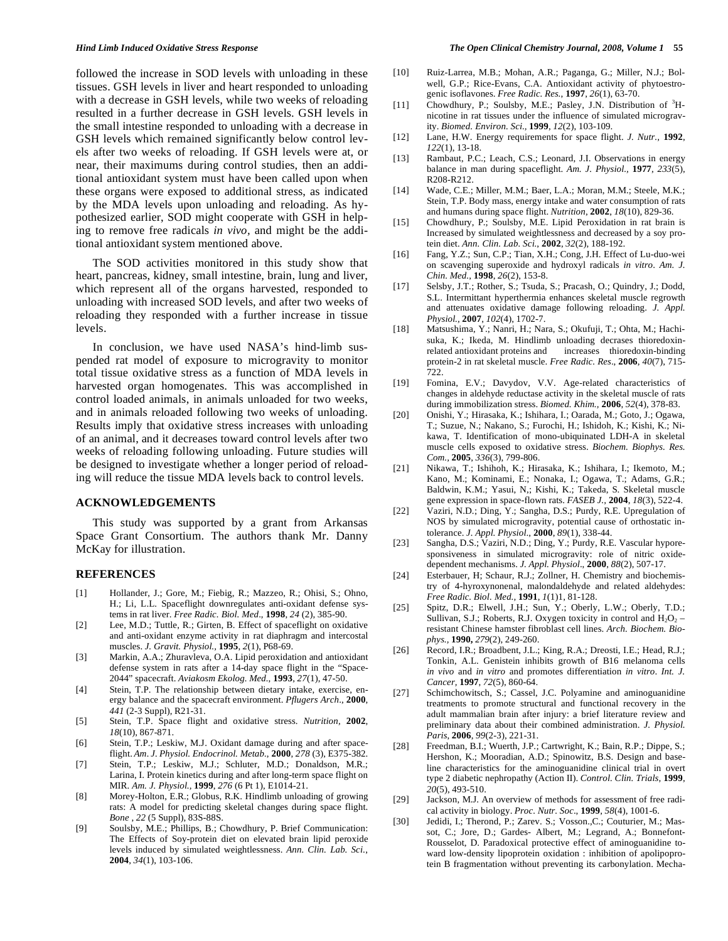followed the increase in SOD levels with unloading in these tissues. GSH levels in liver and heart responded to unloading with a decrease in GSH levels, while two weeks of reloading resulted in a further decrease in GSH levels. GSH levels in the small intestine responded to unloading with a decrease in GSH levels which remained significantly below control levels after two weeks of reloading. If GSH levels were at, or near, their maximums during control studies, then an additional antioxidant system must have been called upon when these organs were exposed to additional stress, as indicated by the MDA levels upon unloading and reloading. As hypothesized earlier, SOD might cooperate with GSH in helping to remove free radicals *in vivo,* and might be the additional antioxidant system mentioned above.

 The SOD activities monitored in this study show that heart, pancreas, kidney, small intestine, brain, lung and liver, which represent all of the organs harvested, responded to unloading with increased SOD levels, and after two weeks of reloading they responded with a further increase in tissue levels.

 In conclusion, we have used NASA's hind-limb suspended rat model of exposure to microgravity to monitor total tissue oxidative stress as a function of MDA levels in harvested organ homogenates. This was accomplished in control loaded animals, in animals unloaded for two weeks, and in animals reloaded following two weeks of unloading. Results imply that oxidative stress increases with unloading of an animal, and it decreases toward control levels after two weeks of reloading following unloading. Future studies will be designed to investigate whether a longer period of reloading will reduce the tissue MDA levels back to control levels.

# **ACKNOWLEDGEMENTS**

 This study was supported by a grant from Arkansas Space Grant Consortium. The authors thank Mr. Danny McKay for illustration.

#### **REFERENCES**

- [1] Hollander, J.; Gore, M.; Fiebig, R.; Mazzeo, R.; Ohisi, S.; Ohno, H.; Li, L.L. Spaceflight downregulates anti-oxidant defense systems in rat liver. *Free Radic. Biol. Med*., **1998**, *24* (2), 385-90.
- [2] Lee, M.D.; Tuttle, R.; Girten, B. Effect of spaceflight on oxidative and anti-oxidant enzyme activity in rat diaphragm and intercostal muscles. *J. Gravit. Physiol.,* **1995**, *2*(1), P68-69.
- [3] Markin, A.A.; Zhuravleva, O.A. Lipid peroxidation and antioxidant defense system in rats after a 14-day space flight in the "Space-2044" spacecraft. *Aviakosm Ekolog. Med.*, **1993**, *27*(1), 47-50.
- [4] Stein, T.P. The relationship between dietary intake, exercise, energy balance and the spacecraft environment. *Pflugers Arch*., **2000**, *441* (2-3 Suppl), R21-31.
- [5] Stein, T.P. Space flight and oxidative stress. *Nutrition,* **2002**, *18*(10), 867-871.
- [6] Stein, T.P.; Leskiw, M.J. Oxidant damage during and after spaceflight. *Am. J. Physiol. Endocrinol. Metab.*, **2000**, *278* (3), E375-382.
- [7] Stein, T.P.; Leskiw, M.J.; Schluter, M.D.; Donaldson, M.R.; Larina, I. Protein kinetics during and after long-term space flight on MIR. *Am. J. Physiol.,* **1999**, *276* (6 Pt 1), E1014-21.
- [8] Morey-Holton, E.R.; Globus, R.K. Hindlimb unloading of growing rats: A model for predicting skeletal changes during space flight. *Bone* , *22* (5 Suppl), 83S-88S.
- [9] Soulsby, M.E.; Phillips, B.; Chowdhury, P. Brief Communication: The Effects of Soy-protein diet on elevated brain lipid peroxide levels induced by simulated weightlessness. *Ann. Clin. Lab. Sci*., **2004**, *34*(1), 103-106.
- [10] Ruiz-Larrea, M.B.; Mohan, A.R.; Paganga, G.; Miller, N.J.; Bolwell, G.P.; Rice-Evans, C.A. Antioxidant activity of phytoestrogenic isoflavones. *Free Radic. Res.*, **1997**, *26*(1), 63-70.
- [11] Chowdhury, P.; Soulsby, M.E.; Pasley, J.N. Distribution of <sup>3</sup>Hnicotine in rat tissues under the influence of simulated microgravity. *Biomed. Environ. Sci.,* **1999**, *12*(2), 103-109.
- [12] Lane, H.W. Energy requirements for space flight. *J. Nutr.,* **1992**, *122*(1), 13-18.
- [13] Rambaut, P.C.; Leach, C.S.; Leonard, J.I. Observations in energy balance in man during spaceflight. *Am. J. Physiol.,* **1977**, *233*(5), R208-R212.
- [14] Wade, C.E.; Miller, M.M.; Baer, L.A.; Moran, M.M.; Steele, M.K.; Stein, T.P. Body mass, energy intake and water consumption of rats and humans during space flight. *Nutrition*, **2002**, *18*(10), 829-36.
- [15] Chowdhury, P.; Soulsby, M.E. Lipid Peroxidation in rat brain is Increased by simulated weightlessness and decreased by a soy protein diet. *Ann. Clin. Lab. Sci.*, **2002**, *32*(2), 188-192.
- [16] Fang, Y.Z.; Sun, C.P.; Tian, X.H.; Cong, J.H. Effect of Lu-duo-wei on scavenging superoxide and hydroxyl radicals *in vitro*. *Am. J. Chin. Med.*, **1998**, *26*(2), 153-8.
- [17] Selsby, J.T.; Rother, S.; Tsuda, S.; Pracash, O.; Quindry, J.; Dodd, S.L. Intermittant hyperthermia enhances skeletal muscle regrowth and attenuates oxidative damage following reloading. *J. Appl. Physiol.,* **2007**, *102*(4), 1702-7.
- [18] Matsushima, Y.; Nanri, H.; Nara, S.; Okufuji, T.; Ohta, M.; Hachisuka, K.; Ikeda, M. Hindlimb unloading decrases thioredoxinrelated antioxidant proteins and increases thioredoxin-binding protein-2 in rat skeletal muscle. *Free Radic. Res*., **2006**, *40*(7), 715- 722.
- [19] Fomina, E.V.; Davydov, V.V. Age-related characteristics of changes in aldehyde reductase activity in the skeletal muscle of rats during immobilization stress. *Biomed. Khim.,* **2006**, *52*(4), 378-83.
- [20] Onishi, Y.; Hirasaka, K.; Ishihara, I.; Oarada, M.; Goto, J.; Ogawa, T.; Suzue, N.; Nakano, S.; Furochi, H.; Ishidoh, K.; Kishi, K.; Nikawa, T. Identification of mono-ubiquinated LDH-A in skeletal muscle cells exposed to oxidative stress. *Biochem. Biophys. Res. Com.,* **2005**, *336*(3), 799-806.
- [21] Nikawa, T.; Ishihoh, K.; Hirasaka, K.; Ishihara, I.; Ikemoto, M.; Kano, M.; Kominami, E.; Nonaka, I.; Ogawa, T.; Adams, G.R.; Baldwin, K.M.; Yasui, N,; Kishi, K.; Takeda, S. Skeletal muscle gene expression in space-flown rats. *FASEB J.,* **2004**, *18*(3), 522-4.
- [22] Vaziri, N.D.; Ding, Y.; Sangha, D.S.; Purdy, R.E. Upregulation of NOS by simulated microgravity, potential cause of orthostatic intolerance. *J. Appl. Physiol*., **2000**, *89*(1), 338-44.
- [23] Sangha, D.S.; Vaziri, N.D.; Ding, Y.; Purdy, R.E. Vascular hyporesponsiveness in simulated microgravity: role of nitric oxidedependent mechanisms. *J. Appl. Physiol*., **2000**, *88*(2), 507-17.
- [24] Esterbauer, H; Schaur, R.J.; Zollner, H. Chemistry and biochemistry of 4-hyroxynonenal, malondaldehyde and related aldehydes: *Free Radic. Biol. Med.,* **1991**, *1*(1)1, 81-128.
- [25] Spitz, D.R.; Elwell, J.H.; Sun, Y.; Oberly, L.W.; Oberly, T.D.; Sullivan, S.J.; Roberts, R.J. Oxygen toxicity in control and  $H_2O_2$  – resistant Chinese hamster fibroblast cell lines. *Arch. Biochem. Biophys.,* **1990,** *279*(2), 249-260.
- [26] Record, I.R.; Broadbent, J.L.; King, R.A.; Dreosti, I.E.; Head, R.J.; Tonkin, A.L. Genistein inhibits growth of B16 melanoma cells *in vivo* and *in vitro* and promotes differentiation *in vitro*. *Int. J. Cancer,* **1997**, *72*(5), 860-64.
- [27] Schimchowitsch, S.; Cassel, J.C. Polyamine and aminoguanidine treatments to promote structural and functional recovery in the adult mammalian brain after injury: a brief literature review and preliminary data about their combined administration. *J. Physiol. Paris*, **2006**, *99*(2-3), 221-31.
- [28] Freedman, B.I.; Wuerth, J.P.; Cartwright, K.; Bain, R.P.; Dippe, S.; Hershon, K.; Mooradian, A.D.; Spinowitz, B.S. Design and baseline characteristics for the aminoguanidine clinical trial in overt type 2 diabetic nephropathy (Action II). *Control. Clin. Trials,* **1999**, *20*(5), 493-510.
- [29] Jackson, M.J. An overview of methods for assessment of free radical activity in biology. *Proc. Nutr. Soc*., **1999**, *58*(4), 1001-6.
- [30] Jedidi, I.; Therond, P.; Zarev. S.; Vosson.,C.; Couturier, M.; Massot, C.; Jore, D.; Gardes- Albert, M.; Legrand, A.; Bonnefont-Rousselot, D. Paradoxical protective effect of aminoguanidine toward low-density lipoprotein oxidation : inhibition of apolipoprotein B fragmentation without preventing its carbonylation. Mecha-